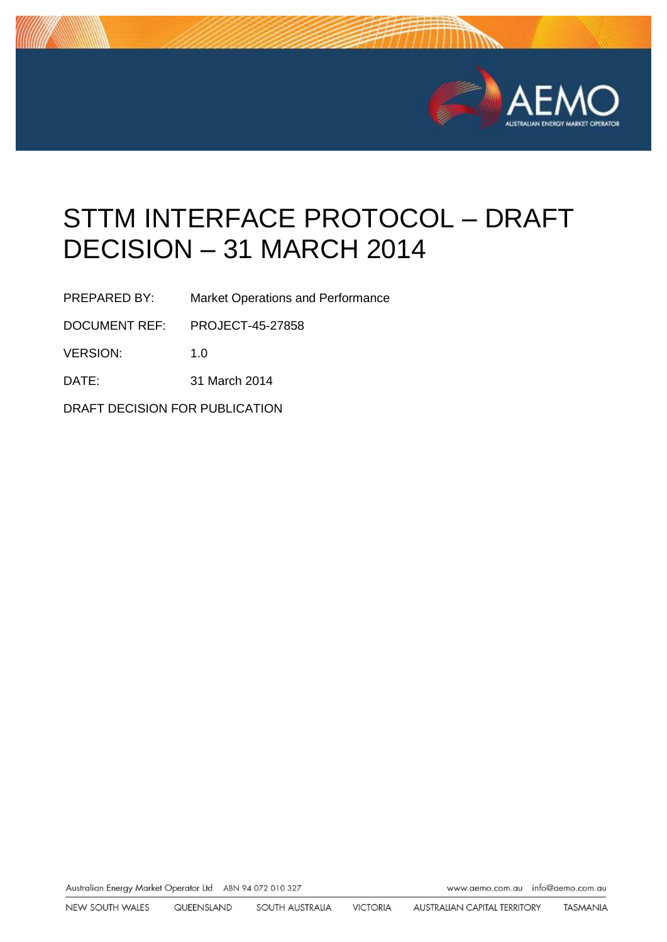

# STTM INTERFACE PROTOCOL – DRAFT DECISION – 31 MARCH 2014

PREPARED BY: Market Operations and Performance

DOCUMENT REF: PROJECT-45-27858

VERSION: 1.0

DATE: 31 March 2014

DRAFT DECISION FOR PUBLICATION

Australian Energy Market Operator Ltd ABN 94 072 010 327 www.aemo.com.au info@aemo.com.au info@aemo.com.au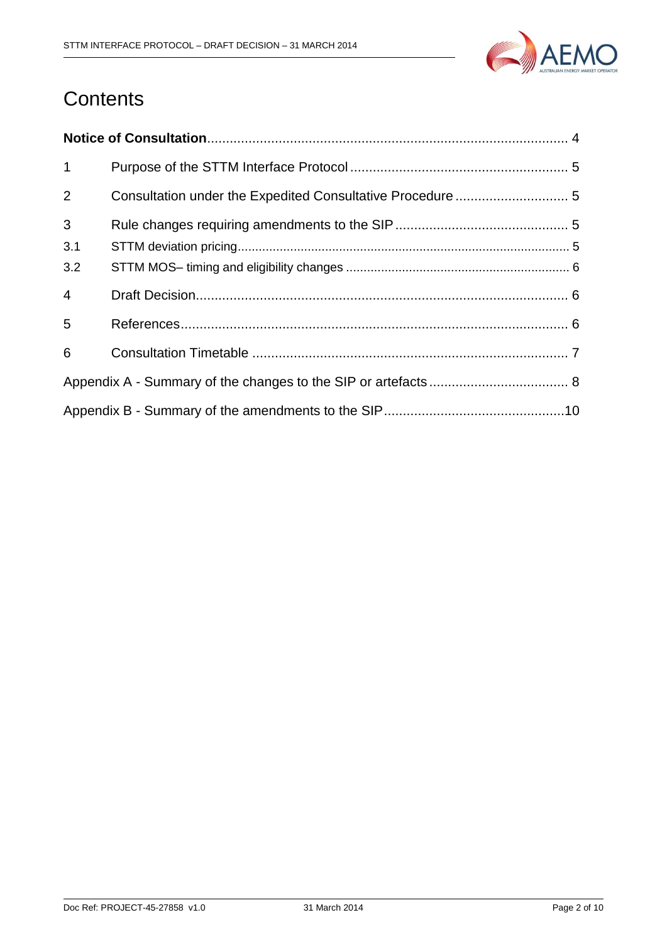

# **Contents**

| $\mathbf{1}$   |                                                            |  |  |
|----------------|------------------------------------------------------------|--|--|
| 2              | Consultation under the Expedited Consultative Procedure  5 |  |  |
| 3              |                                                            |  |  |
| 3.1            |                                                            |  |  |
| 3.2            |                                                            |  |  |
| $\overline{4}$ |                                                            |  |  |
| 5              |                                                            |  |  |
| 6              |                                                            |  |  |
|                |                                                            |  |  |
|                |                                                            |  |  |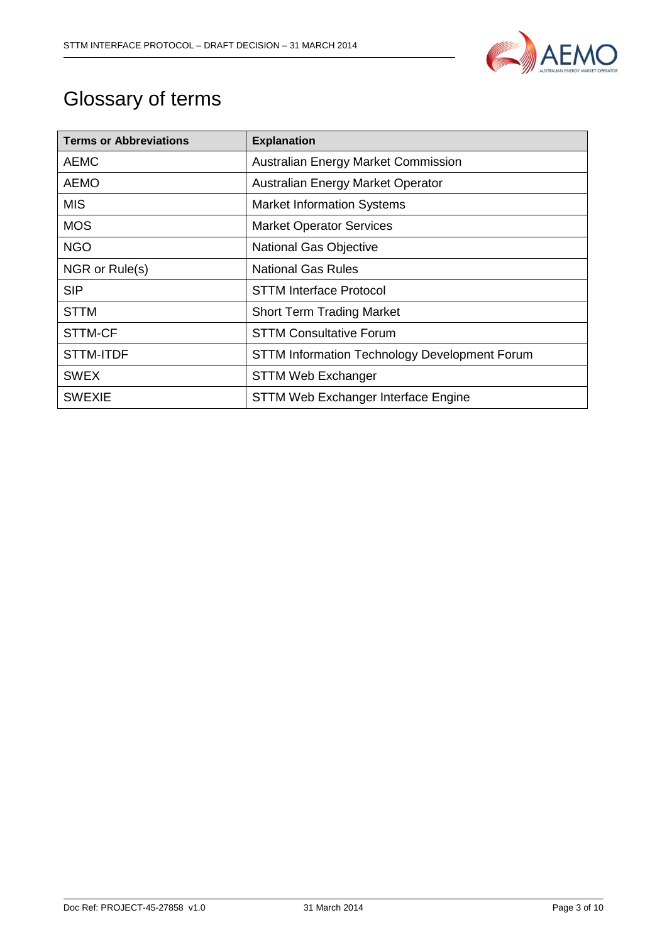

# Glossary of terms

| <b>Terms or Abbreviations</b> | <b>Explanation</b>                                   |
|-------------------------------|------------------------------------------------------|
| <b>AEMC</b>                   | <b>Australian Energy Market Commission</b>           |
| <b>AEMO</b>                   | Australian Energy Market Operator                    |
| <b>MIS</b>                    | <b>Market Information Systems</b>                    |
| <b>MOS</b>                    | <b>Market Operator Services</b>                      |
| <b>NGO</b>                    | <b>National Gas Objective</b>                        |
| NGR or Rule(s)                | <b>National Gas Rules</b>                            |
| <b>SIP</b>                    | <b>STTM Interface Protocol</b>                       |
| <b>STTM</b>                   | <b>Short Term Trading Market</b>                     |
| STTM-CF                       | <b>STTM Consultative Forum</b>                       |
| STTM-ITDF                     | <b>STTM Information Technology Development Forum</b> |
| <b>SWEX</b>                   | <b>STTM Web Exchanger</b>                            |
| <b>SWEXIE</b>                 | STTM Web Exchanger Interface Engine                  |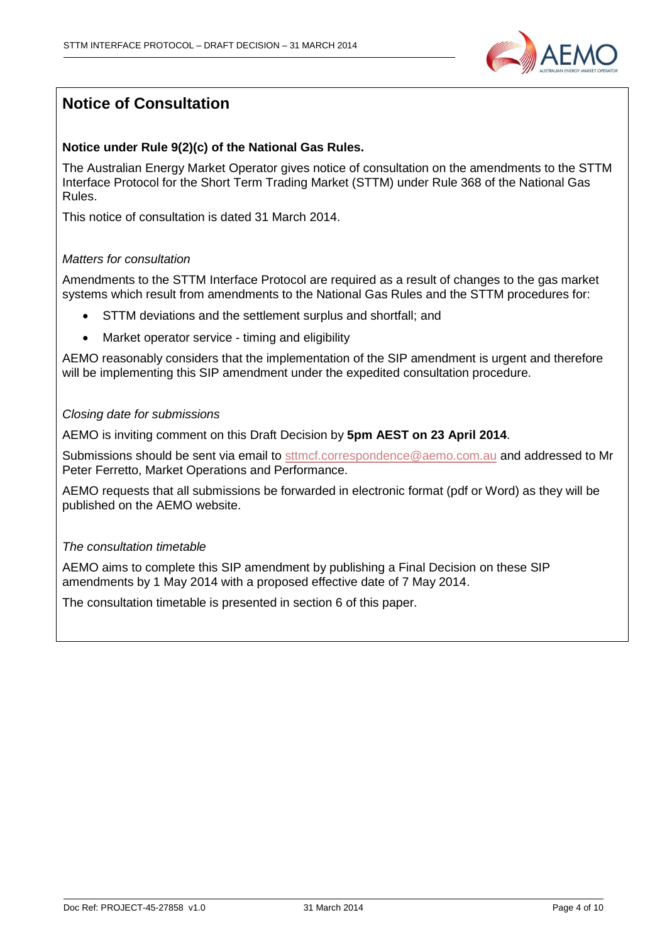

# <span id="page-3-0"></span>**Notice of Consultation**

## **Notice under Rule 9(2)(c) of the National Gas Rules.**

The Australian Energy Market Operator gives notice of consultation on the amendments to the STTM Interface Protocol for the Short Term Trading Market (STTM) under Rule 368 of the National Gas Rules.

This notice of consultation is dated 31 March 2014.

### *Matters for consultation*

Amendments to the STTM Interface Protocol are required as a result of changes to the gas market systems which result from amendments to the National Gas Rules and the STTM procedures for:

- STTM deviations and the settlement surplus and shortfall; and
- Market operator service timing and eligibility

AEMO reasonably considers that the implementation of the SIP amendment is urgent and therefore will be implementing this SIP amendment under the expedited consultation procedure.

#### *Closing date for submissions*

AEMO is inviting comment on this Draft Decision by **5pm AEST on 23 April 2014**.

Submissions should be sent via email to [sttmcf.correspondence@aemo.com.au](mailto:sttmcf.correspondence@aemo.com.au) and addressed to Mr Peter Ferretto, Market Operations and Performance.

AEMO requests that all submissions be forwarded in electronic format (pdf or Word) as they will be published on the AEMO website.

#### *The consultation timetable*

AEMO aims to complete this SIP amendment by publishing a Final Decision on these SIP amendments by 1 May 2014 with a proposed effective date of 7 May 2014.

The consultation timetable is presented in section [6](#page-6-0) of this paper.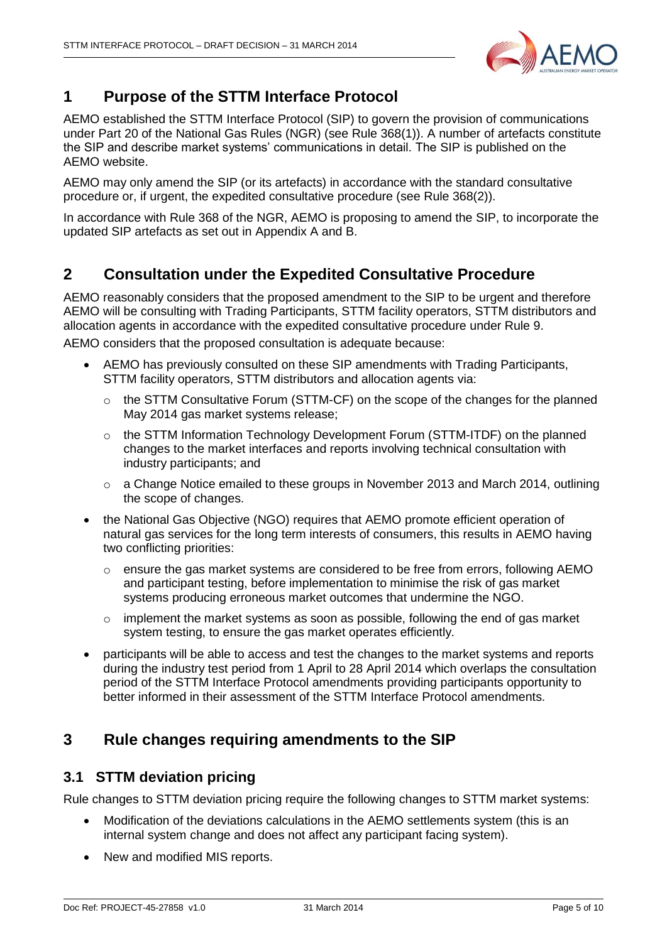

# <span id="page-4-0"></span>**1 Purpose of the STTM Interface Protocol**

AEMO established the STTM Interface Protocol (SIP) to govern the provision of communications under Part 20 of the National Gas Rules (NGR) (see Rule 368(1)). A number of artefacts constitute the SIP and describe market systems' communications in detail. The SIP is published on the AEMO website.

AEMO may only amend the SIP (or its artefacts) in accordance with the standard consultative procedure or, if urgent, the expedited consultative procedure (see Rule 368(2)).

In accordance with Rule 368 of the NGR, AEMO is proposing to amend the SIP, to incorporate the updated SIP artefacts as set out in Appendix A and B.

## <span id="page-4-1"></span>**2 Consultation under the Expedited Consultative Procedure**

AEMO reasonably considers that the proposed amendment to the SIP to be urgent and therefore AEMO will be consulting with Trading Participants, STTM facility operators, STTM distributors and allocation agents in accordance with the expedited consultative procedure under Rule 9.

AEMO considers that the proposed consultation is adequate because:

- AEMO has previously consulted on these SIP amendments with Trading Participants, STTM facility operators, STTM distributors and allocation agents via:
	- $\circ$  the STTM Consultative Forum (STTM-CF) on the scope of the changes for the planned May 2014 gas market systems release;
	- o the STTM Information Technology Development Forum (STTM-ITDF) on the planned changes to the market interfaces and reports involving technical consultation with industry participants; and
	- $\circ$  a Change Notice emailed to these groups in November 2013 and March 2014, outlining the scope of changes.
- the National Gas Objective (NGO) requires that AEMO promote efficient operation of natural gas services for the long term interests of consumers, this results in AEMO having two conflicting priorities:
	- $\circ$  ensure the gas market systems are considered to be free from errors, following AEMO and participant testing, before implementation to minimise the risk of gas market systems producing erroneous market outcomes that undermine the NGO.
	- $\circ$  implement the market systems as soon as possible, following the end of gas market system testing, to ensure the gas market operates efficiently.
- participants will be able to access and test the changes to the market systems and reports during the industry test period from 1 April to 28 April 2014 which overlaps the consultation period of the STTM Interface Protocol amendments providing participants opportunity to better informed in their assessment of the STTM Interface Protocol amendments.

## <span id="page-4-2"></span>**3 Rule changes requiring amendments to the SIP**

## <span id="page-4-3"></span>**3.1 STTM deviation pricing**

Rule changes to STTM deviation pricing require the following changes to STTM market systems:

- Modification of the deviations calculations in the AEMO settlements system (this is an internal system change and does not affect any participant facing system).
- New and modified MIS reports.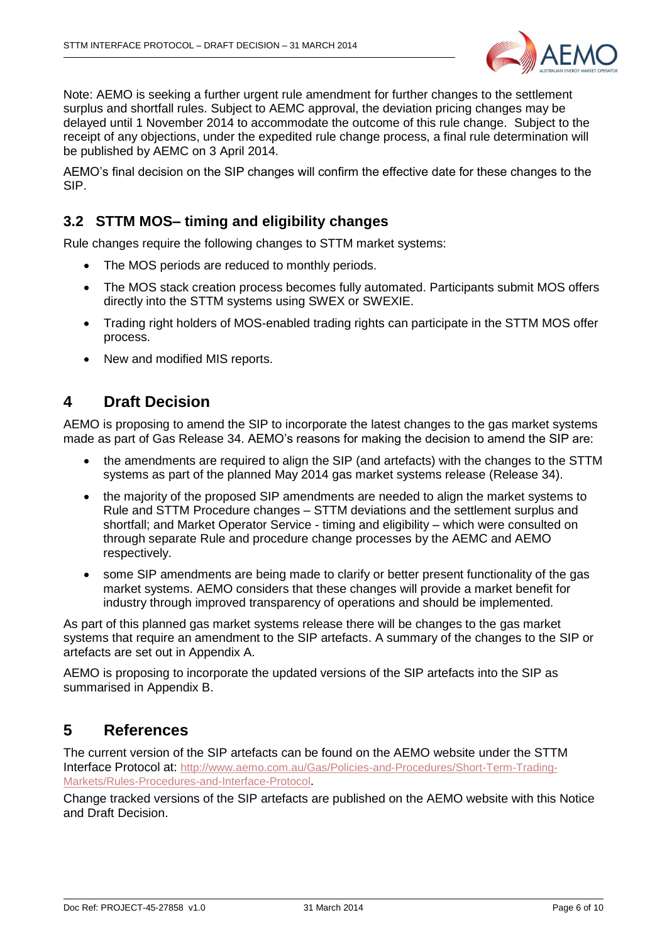

Note: AEMO is seeking a further urgent rule amendment for further changes to the settlement surplus and shortfall rules. Subject to AEMC approval, the deviation pricing changes may be delayed until 1 November 2014 to accommodate the outcome of this rule change. Subject to the receipt of any objections, under the expedited rule change process, a final rule determination will be published by AEMC on 3 April 2014.

AEMO's final decision on the SIP changes will confirm the effective date for these changes to the SIP.

## <span id="page-5-0"></span>**3.2 STTM MOS– timing and eligibility changes**

Rule changes require the following changes to STTM market systems:

- The MOS periods are reduced to monthly periods.
- The MOS stack creation process becomes fully automated. Participants submit MOS offers directly into the STTM systems using SWEX or SWEXIE.
- Trading right holders of MOS-enabled trading rights can participate in the STTM MOS offer process.
- New and modified MIS reports.

## <span id="page-5-1"></span>**4 Draft Decision**

AEMO is proposing to amend the SIP to incorporate the latest changes to the gas market systems made as part of Gas Release 34. AEMO's reasons for making the decision to amend the SIP are:

- the amendments are required to align the SIP (and artefacts) with the changes to the STTM systems as part of the planned May 2014 gas market systems release (Release 34).
- the majority of the proposed SIP amendments are needed to align the market systems to Rule and STTM Procedure changes – STTM deviations and the settlement surplus and shortfall; and Market Operator Service - timing and eligibility – which were consulted on through separate Rule and procedure change processes by the AEMC and AEMO respectively.
- some SIP amendments are being made to clarify or better present functionality of the gas market systems. AEMO considers that these changes will provide a market benefit for industry through improved transparency of operations and should be implemented.

As part of this planned gas market systems release there will be changes to the gas market systems that require an amendment to the SIP artefacts. A summary of the changes to the SIP or artefacts are set out in Appendix A.

AEMO is proposing to incorporate the updated versions of the SIP artefacts into the SIP as summarised in Appendix B.

## <span id="page-5-2"></span>**5 References**

The current version of the SIP artefacts can be found on the AEMO website under the STTM Interface Protocol at: [http://www.aemo.com.au/Gas/Policies-and-Procedures/Short-Term-Trading-](http://www.aemo.com.au/Gas/Policies-and-Procedures/Short-Term-Trading-Markets/Rules-Procedures-and-Interface-Protocol)[Markets/Rules-Procedures-and-Interface-Protocol](http://www.aemo.com.au/Gas/Policies-and-Procedures/Short-Term-Trading-Markets/Rules-Procedures-and-Interface-Protocol).

Change tracked versions of the SIP artefacts are published on the AEMO website with this Notice and Draft Decision.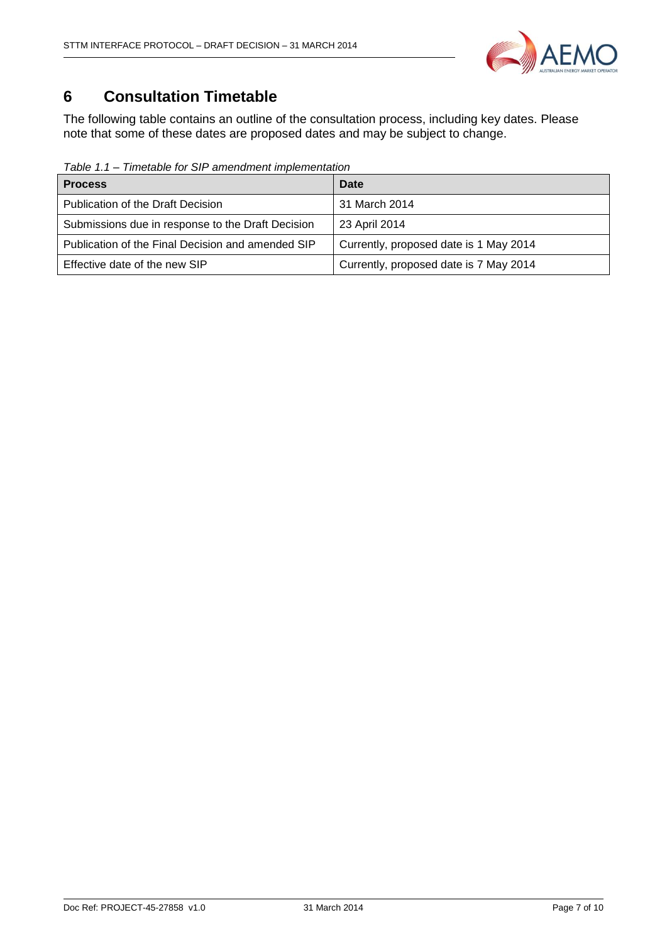

# <span id="page-6-0"></span>**6 Consultation Timetable**

The following table contains an outline of the consultation process, including key dates. Please note that some of these dates are proposed dates and may be subject to change.

*Table 1.1 – Timetable for SIP amendment implementation*

| <b>Process</b>                                    | Date                                   |
|---------------------------------------------------|----------------------------------------|
| <b>Publication of the Draft Decision</b>          | 31 March 2014                          |
| Submissions due in response to the Draft Decision | 23 April 2014                          |
| Publication of the Final Decision and amended SIP | Currently, proposed date is 1 May 2014 |
| Effective date of the new SIP                     | Currently, proposed date is 7 May 2014 |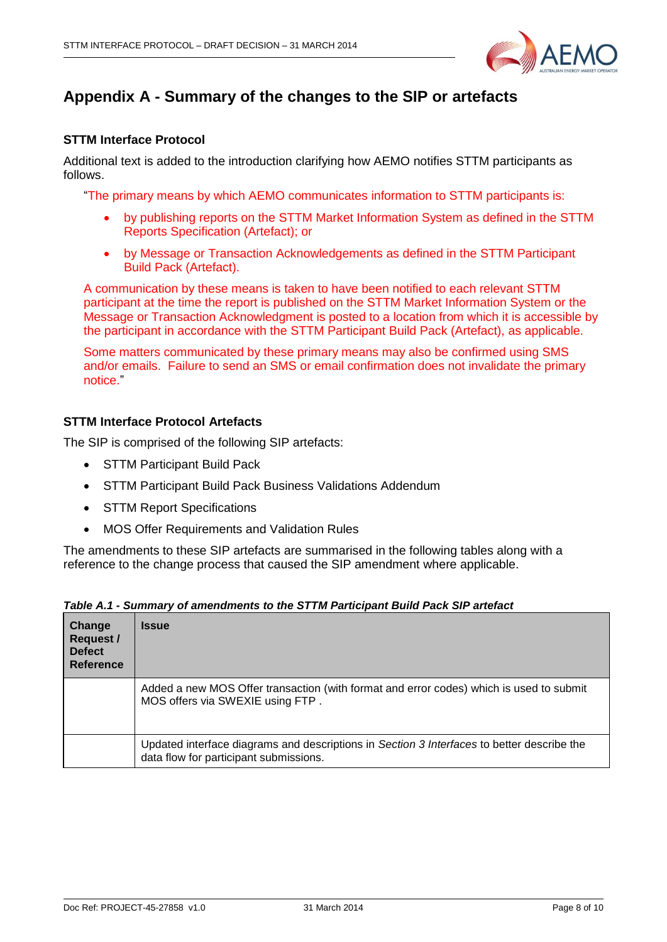

# <span id="page-7-0"></span>**Appendix A - Summary of the changes to the SIP or artefacts**

## **STTM Interface Protocol**

Additional text is added to the introduction clarifying how AEMO notifies STTM participants as follows.

"The primary means by which AEMO communicates information to STTM participants is:

- by publishing reports on the STTM Market Information System as defined in the STTM Reports Specification (Artefact); or
- by Message or Transaction Acknowledgements as defined in the STTM Participant Build Pack (Artefact).

A communication by these means is taken to have been notified to each relevant STTM participant at the time the report is published on the STTM Market Information System or the Message or Transaction Acknowledgment is posted to a location from which it is accessible by the participant in accordance with the STTM Participant Build Pack (Artefact), as applicable.

Some matters communicated by these primary means may also be confirmed using SMS and/or emails. Failure to send an SMS or email confirmation does not invalidate the primary notice."

## **STTM Interface Protocol Artefacts**

The SIP is comprised of the following SIP artefacts:

- STTM Participant Build Pack
- STTM Participant Build Pack Business Validations Addendum
- STTM Report Specifications
- MOS Offer Requirements and Validation Rules

The amendments to these SIP artefacts are summarised in the following tables along with a reference to the change process that caused the SIP amendment where applicable.

| Change<br>Request /<br><b>Defect</b><br>Reference | <b>Issue</b>                                                                                                                         |
|---------------------------------------------------|--------------------------------------------------------------------------------------------------------------------------------------|
|                                                   | Added a new MOS Offer transaction (with format and error codes) which is used to submit<br>MOS offers via SWEXIE using FTP.          |
|                                                   | Updated interface diagrams and descriptions in Section 3 Interfaces to better describe the<br>data flow for participant submissions. |

|  | Table A.1 - Summary of amendments to the STTM Participant Build Pack SIP artefact |  |  |  |
|--|-----------------------------------------------------------------------------------|--|--|--|
|--|-----------------------------------------------------------------------------------|--|--|--|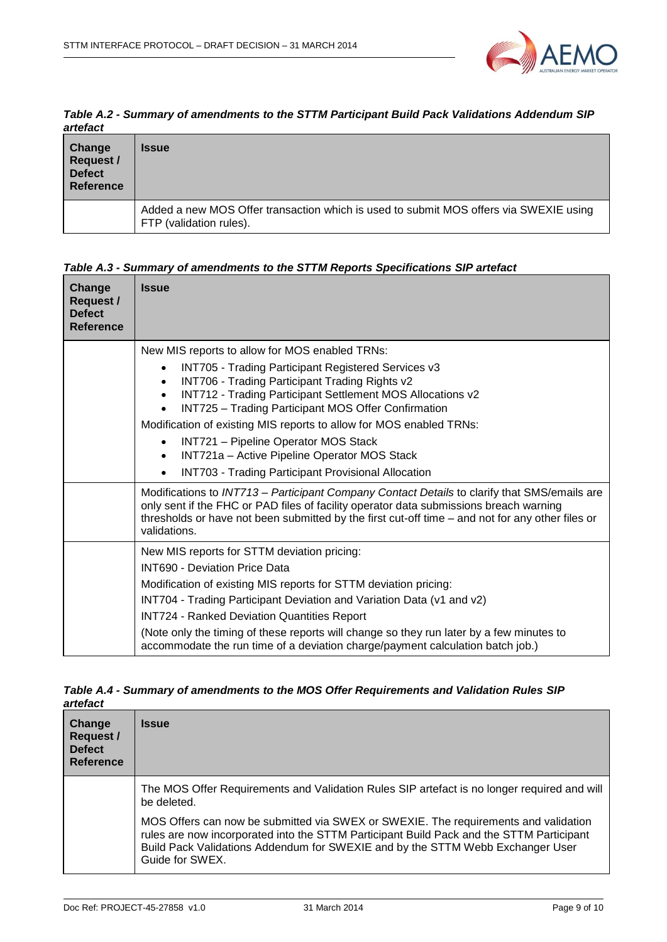

*Table A.2 - Summary of amendments to the STTM Participant Build Pack Validations Addendum SIP artefact*

| Change<br>Request /<br><b>Defect</b><br>Reference | <b>Issue</b>                                                                                                     |
|---------------------------------------------------|------------------------------------------------------------------------------------------------------------------|
|                                                   | Added a new MOS Offer transaction which is used to submit MOS offers via SWEXIE using<br>FTP (validation rules). |

### *Table A.3 - Summary of amendments to the STTM Reports Specifications SIP artefact*

| Change<br><b>Request /</b><br><b>Defect</b><br>Reference | <b>Issue</b>                                                                                                                                                                                                                                                                                                                                                                                                                                                                                                     |
|----------------------------------------------------------|------------------------------------------------------------------------------------------------------------------------------------------------------------------------------------------------------------------------------------------------------------------------------------------------------------------------------------------------------------------------------------------------------------------------------------------------------------------------------------------------------------------|
|                                                          | New MIS reports to allow for MOS enabled TRNs:<br><b>INT705 - Trading Participant Registered Services v3</b><br>INT706 - Trading Participant Trading Rights v2<br>INT712 - Trading Participant Settlement MOS Allocations v2<br>INT725 - Trading Participant MOS Offer Confirmation<br>Modification of existing MIS reports to allow for MOS enabled TRNs:<br>INT721 - Pipeline Operator MOS Stack<br>INT721a - Active Pipeline Operator MOS Stack<br><b>INT703 - Trading Participant Provisional Allocation</b> |
|                                                          | Modifications to INT713 - Participant Company Contact Details to clarify that SMS/emails are<br>only sent if the FHC or PAD files of facility operator data submissions breach warning<br>thresholds or have not been submitted by the first cut-off time - and not for any other files or<br>validations.                                                                                                                                                                                                       |
|                                                          | New MIS reports for STTM deviation pricing:<br><b>INT690 - Deviation Price Data</b><br>Modification of existing MIS reports for STTM deviation pricing:<br>INT704 - Trading Participant Deviation and Variation Data (v1 and v2)<br><b>INT724 - Ranked Deviation Quantities Report</b><br>(Note only the timing of these reports will change so they run later by a few minutes to<br>accommodate the run time of a deviation charge/payment calculation batch job.)                                             |

| Table A.4 - Summary of amendments to the MOS Offer Requirements and Validation Rules SIP |  |
|------------------------------------------------------------------------------------------|--|
| artefact                                                                                 |  |

| Change<br><b>Request /</b><br><b>Defect</b><br><b>Reference</b> | <b>Issue</b>                                                                                                                                                                                                                                                                         |
|-----------------------------------------------------------------|--------------------------------------------------------------------------------------------------------------------------------------------------------------------------------------------------------------------------------------------------------------------------------------|
|                                                                 | The MOS Offer Requirements and Validation Rules SIP artefact is no longer required and will<br>be deleted.                                                                                                                                                                           |
|                                                                 | MOS Offers can now be submitted via SWEX or SWEXIE. The requirements and validation<br>rules are now incorporated into the STTM Participant Build Pack and the STTM Participant<br>Build Pack Validations Addendum for SWEXIE and by the STTM Webb Exchanger User<br>Guide for SWEX. |